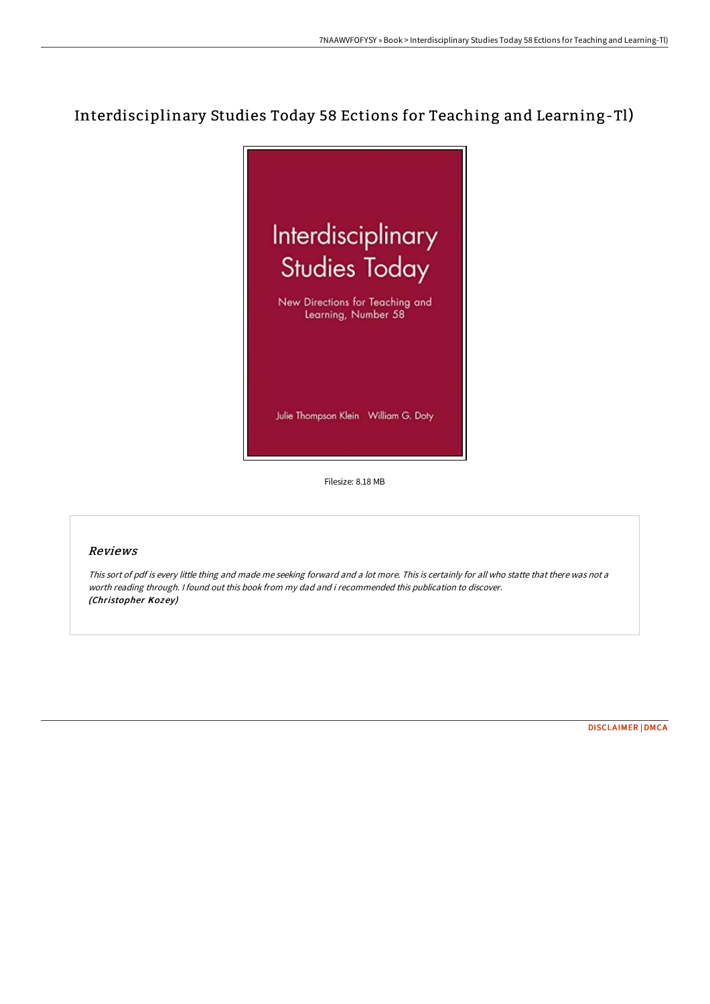## Interdisciplinary Studies Today 58 Ections for Teaching and Learning-Tl)



Filesize: 8.18 MB

## Reviews

This sort of pdf is every little thing and made me seeking forward and <sup>a</sup> lot more. This is certainly for all who statte that there was not <sup>a</sup> worth reading through. <sup>I</sup> found out this book from my dad and i recommended this publication to discover. (Christopher Kozey)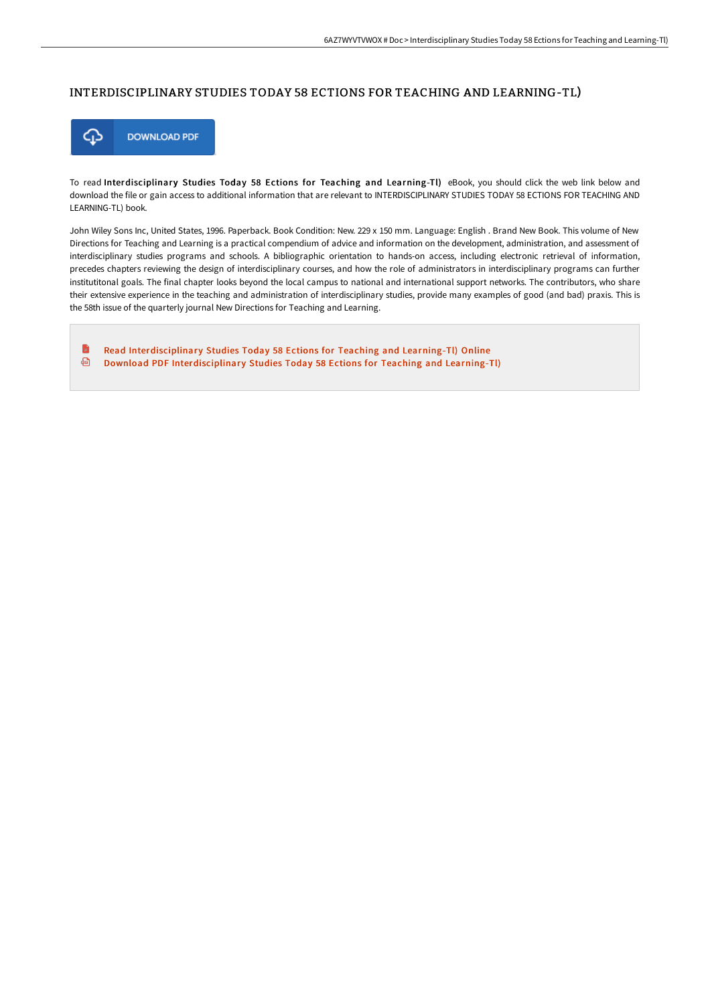## INTERDISCIPLINARY STUDIES TODAY 58 ECTIONS FOR TEACHING AND LEARNING-TL)



To read Interdisciplinary Studies Today 58 Ections for Teaching and Learning-Tl) eBook, you should click the web link below and download the file or gain access to additional information that are relevant to INTERDISCIPLINARY STUDIES TODAY 58 ECTIONS FOR TEACHING AND LEARNING-TL) book.

John Wiley Sons Inc, United States, 1996. Paperback. Book Condition: New. 229 x 150 mm. Language: English . Brand New Book. This volume of New Directions for Teaching and Learning is a practical compendium of advice and information on the development, administration, and assessment of interdisciplinary studies programs and schools. A bibliographic orientation to hands-on access, including electronic retrieval of information, precedes chapters reviewing the design of interdisciplinary courses, and how the role of administrators in interdisciplinary programs can further institutitonal goals. The final chapter looks beyond the local campus to national and international support networks. The contributors, who share their extensive experience in the teaching and administration of interdisciplinary studies, provide many examples of good (and bad) praxis. This is the 58th issue of the quarterly journal New Directions for Teaching and Learning.

H−° Read [Interdisciplinar](http://techno-pub.tech/interdisciplinary-studies-today-58-ections-for-t.html)y Studies Today 58 Ections for Teaching and Learning-Tl) Online ⊕ Download PDF [Interdisciplinar](http://techno-pub.tech/interdisciplinary-studies-today-58-ections-for-t.html)y Studies Today 58 Ections for Teaching and Learning-Tl)